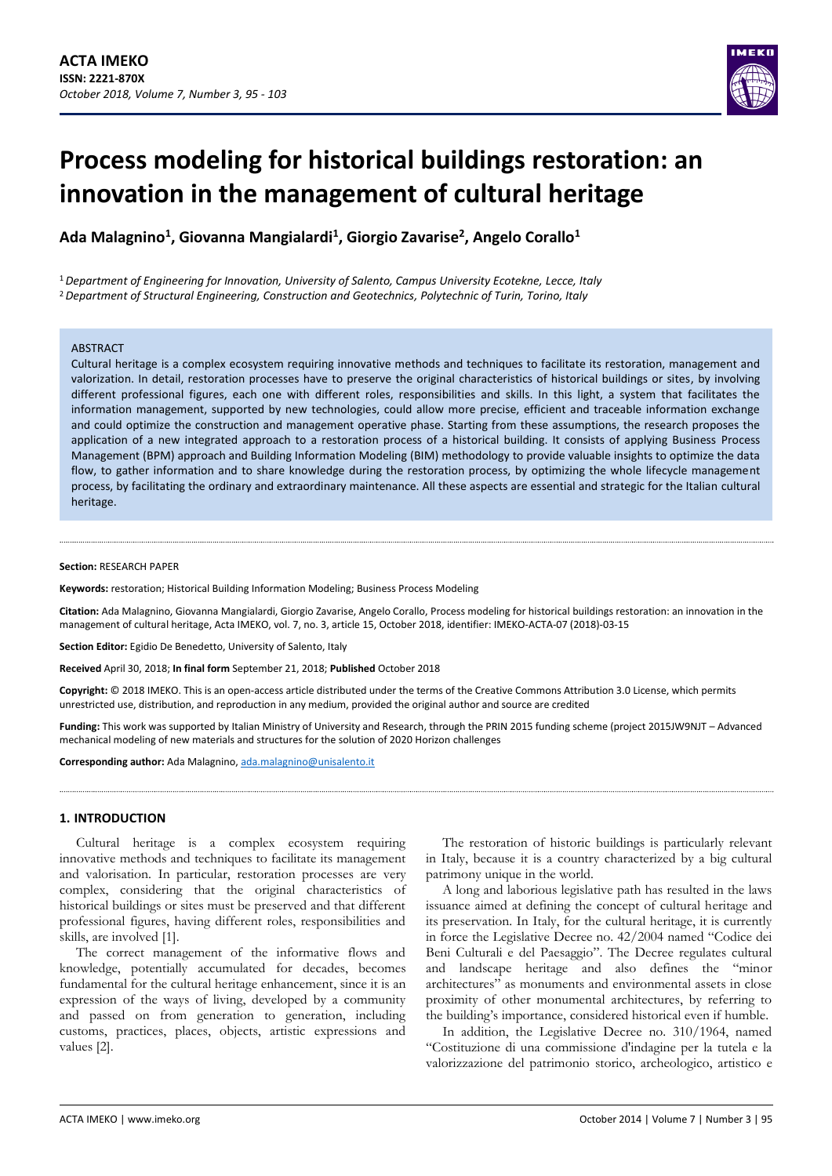

# **Process modeling for historical buildings restoration: an innovation in the management of cultural heritage**

**Ada Malagnino<sup>1</sup> , Giovanna Mangialardi<sup>1</sup> , Giorgio Zavarise<sup>2</sup> , Angelo Corallo<sup>1</sup>**

<sup>1</sup>*Department of Engineering for Innovation, University of Salento, Campus University Ecotekne, Lecce, Italy* <sup>2</sup>*Department of Structural Engineering, Construction and Geotechnics, Polytechnic of Turin, Torino, Italy*

#### ABSTRACT

Cultural heritage is a complex ecosystem requiring innovative methods and techniques to facilitate its restoration, management and valorization. In detail, restoration processes have to preserve the original characteristics of historical buildings or sites, by involving different professional figures, each one with different roles, responsibilities and skills. In this light, a system that facilitates the information management, supported by new technologies, could allow more precise, efficient and traceable information exchange and could optimize the construction and management operative phase. Starting from these assumptions, the research proposes the application of a new integrated approach to a restoration process of a historical building. It consists of applying Business Process Management (BPM) approach and Building Information Modeling (BIM) methodology to provide valuable insights to optimize the data flow, to gather information and to share knowledge during the restoration process, by optimizing the whole lifecycle management process, by facilitating the ordinary and extraordinary maintenance. All these aspects are essential and strategic for the Italian cultural heritage.

#### **Section:** RESEARCH PAPER

**Keywords:** restoration; Historical Building Information Modeling; Business Process Modeling

**Citation:** Ada Malagnino, Giovanna Mangialardi, Giorgio Zavarise, Angelo Corallo, Process modeling for historical buildings restoration: an innovation in the management of cultural heritage, Acta IMEKO, vol. 7, no. 3, article 15, October 2018, identifier: IMEKO-ACTA-07 (2018)-03-15

**Section Editor:** Egidio De Benedetto, University of Salento, Italy

**Received** April 30, 2018; **In final form** September 21, 2018; **Published** October 2018

**Copyright:** © 2018 IMEKO. This is an open-access article distributed under the terms of the Creative Commons Attribution 3.0 License, which permits unrestricted use, distribution, and reproduction in any medium, provided the original author and source are credited

**Funding:** This work was supported by Italian Ministry of University and Research, through the PRIN 2015 funding scheme (project 2015JW9NJT – Advanced mechanical modeling of new materials and structures for the solution of 2020 Horizon challenges

**Corresponding author:** Ada Malagnino[, ada.malagnino@unisalento.it](mailto:ada.malagnino@unisalento.it)

## **1. INTRODUCTION**

Cultural heritage is a complex ecosystem requiring innovative methods and techniques to facilitate its management and valorisation. In particular, restoration processes are very complex, considering that the original characteristics of historical buildings or sites must be preserved and that different professional figures, having different roles, responsibilities and skills, are involved [1].

The correct management of the informative flows and knowledge, potentially accumulated for decades, becomes fundamental for the cultural heritage enhancement, since it is an expression of the ways of living, developed by a community and passed on from generation to generation, including customs, practices, places, objects, artistic expressions and values [2].

The restoration of historic buildings is particularly relevant in Italy, because it is a country characterized by a big cultural patrimony unique in the world.

A long and laborious legislative path has resulted in the laws issuance aimed at defining the concept of cultural heritage and its preservation. In Italy, for the cultural heritage, it is currently in force the Legislative Decree no. 42/2004 named "Codice dei Beni Culturali e del Paesaggio". The Decree regulates cultural and landscape heritage and also defines the "minor architectures" as monuments and environmental assets in close proximity of other monumental architectures, by referring to the building's importance, considered historical even if humble.

In addition, the Legislative Decree no. 310/1964, named "Costituzione di una commissione d'indagine per la tutela e la valorizzazione del patrimonio storico, archeologico, artistico e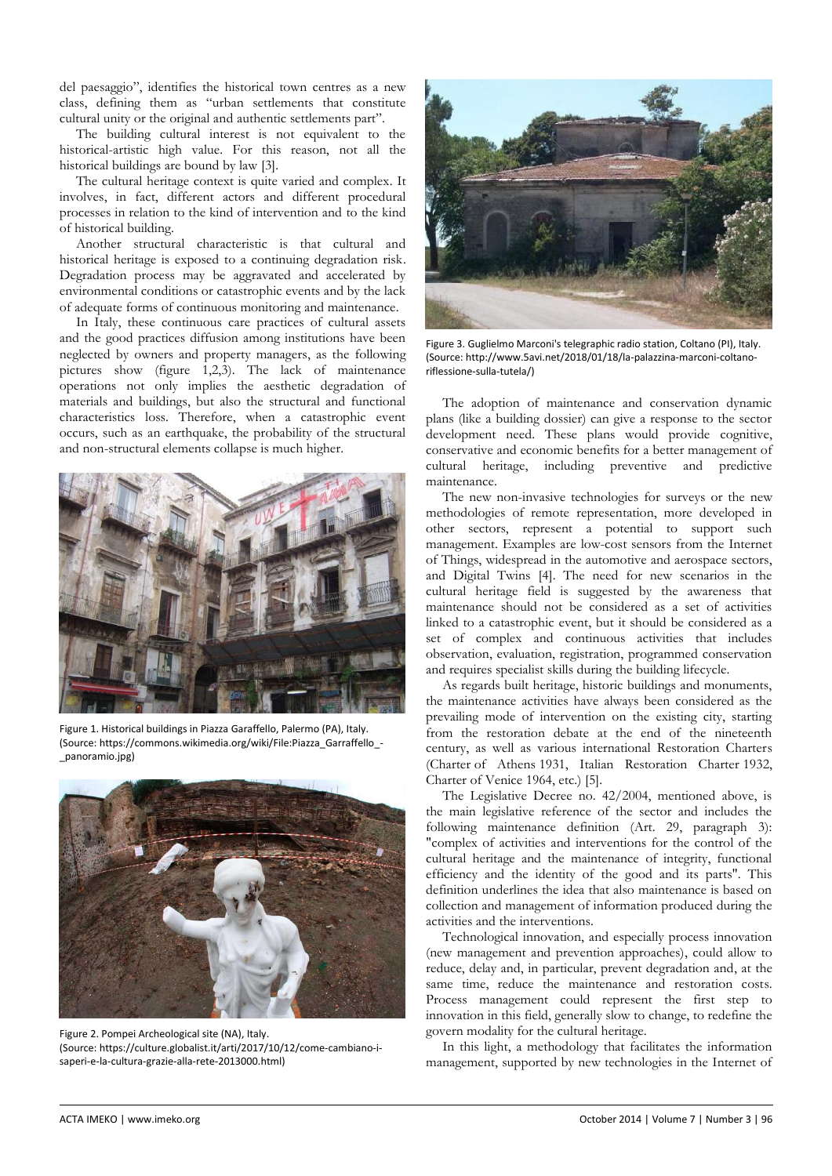del paesaggio", identifies the historical town centres as a new class, defining them as "urban settlements that constitute cultural unity or the original and authentic settlements part".

The building cultural interest is not equivalent to the historical-artistic high value. For this reason, not all the historical buildings are bound by law [3].

The cultural heritage context is quite varied and complex. It involves, in fact, different actors and different procedural processes in relation to the kind of intervention and to the kind of historical building.

Another structural characteristic is that cultural and historical heritage is exposed to a continuing degradation risk. Degradation process may be aggravated and accelerated by environmental conditions or catastrophic events and by the lack of adequate forms of continuous monitoring and maintenance.

In Italy, these continuous care practices of cultural assets and the good practices diffusion among institutions have been neglected by owners and property managers, as the following pictures show (figure 1,2,3). The lack of maintenance operations not only implies the aesthetic degradation of materials and buildings, but also the structural and functional characteristics loss. Therefore, when a catastrophic event occurs, such as an earthquake, the probability of the structural and non-structural elements collapse is much higher.



Figure 1. Historical buildings in Piazza Garaffello, Palermo (PA), Italy. (Source: https://commons.wikimedia.org/wiki/File:Piazza\_Garraffello\_- \_panoramio.jpg)



Figure 2. Pompei Archeological site (NA), Italy. (Source: https://culture.globalist.it/arti/2017/10/12/come-cambiano-isaperi-e-la-cultura-grazie-alla-rete-2013000.html)



Figure 3. Guglielmo Marconi's telegraphic radio station, Coltano (PI), Italy. (Source: http://www.5avi.net/2018/01/18/la-palazzina-marconi-coltanoriflessione-sulla-tutela/)

The adoption of maintenance and conservation dynamic plans (like a building dossier) can give a response to the sector development need. These plans would provide cognitive, conservative and economic benefits for a better management of cultural heritage, including preventive and predictive maintenance.

The new non-invasive technologies for surveys or the new methodologies of remote representation, more developed in other sectors, represent a potential to support such management. Examples are low-cost sensors from the Internet of Things, widespread in the automotive and aerospace sectors, and Digital Twins [4]. The need for new scenarios in the cultural heritage field is suggested by the awareness that maintenance should not be considered as a set of activities linked to a catastrophic event, but it should be considered as a set of complex and continuous activities that includes observation, evaluation, registration, programmed conservation and requires specialist skills during the building lifecycle.

As regards built heritage, historic buildings and monuments, the maintenance activities have always been considered as the prevailing mode of intervention on the existing city, starting from the restoration debate at the end of the nineteenth century, as well as various international Restoration Charters (Charter of Athens 1931, Italian Restoration Charter 1932, Charter of Venice 1964, etc.) [5].

The Legislative Decree no. 42/2004, mentioned above, is the main legislative reference of the sector and includes the following maintenance definition (Art. 29, paragraph 3): "complex of activities and interventions for the control of the cultural heritage and the maintenance of integrity, functional efficiency and the identity of the good and its parts". This definition underlines the idea that also maintenance is based on collection and management of information produced during the activities and the interventions.

Technological innovation, and especially process innovation (new management and prevention approaches), could allow to reduce, delay and, in particular, prevent degradation and, at the same time, reduce the maintenance and restoration costs. Process management could represent the first step to innovation in this field, generally slow to change, to redefine the govern modality for the cultural heritage.

In this light, a methodology that facilitates the information management, supported by new technologies in the Internet of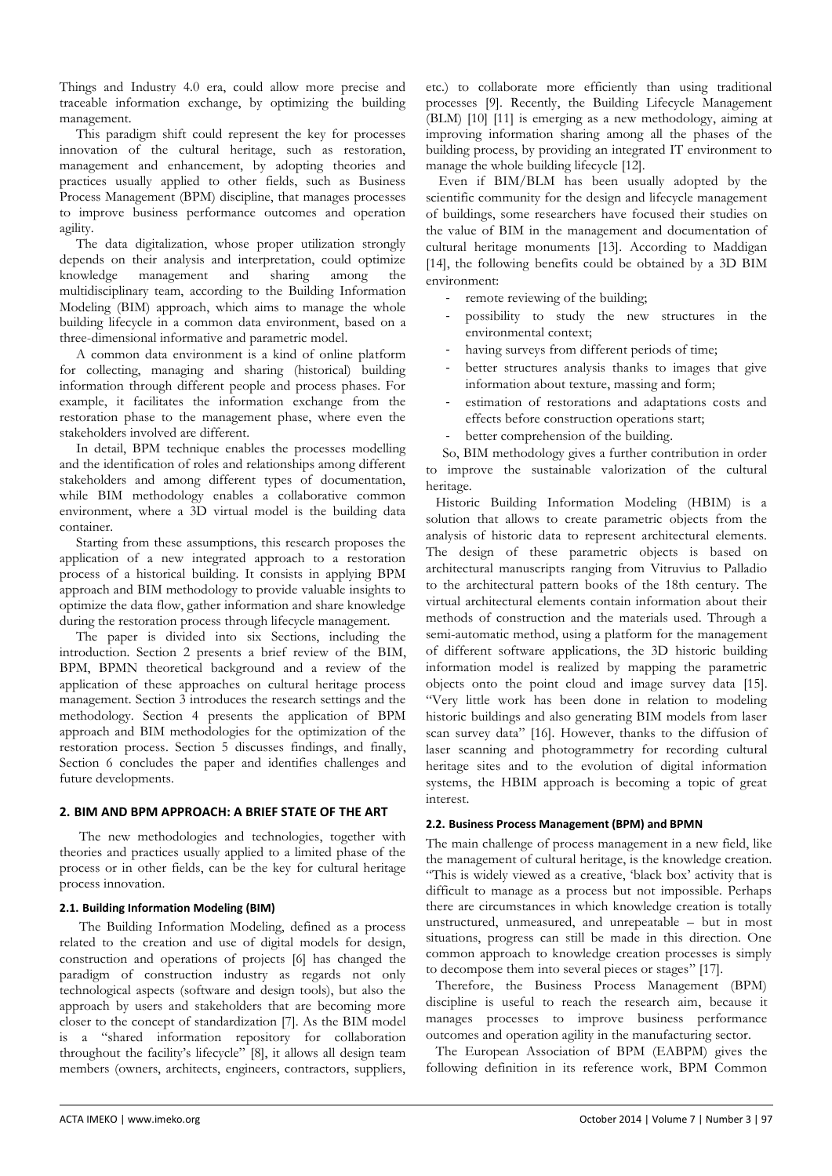Things and Industry 4.0 era, could allow more precise and traceable information exchange, by optimizing the building management.

This paradigm shift could represent the key for processes innovation of the cultural heritage, such as restoration, management and enhancement, by adopting theories and practices usually applied to other fields, such as Business Process Management (BPM) discipline, that manages processes to improve business performance outcomes and operation agility.

The data digitalization, whose proper utilization strongly depends on their analysis and interpretation, could optimize knowledge management and sharing among the management and sharing among the multidisciplinary team, according to the Building Information Modeling (BIM) approach, which aims to manage the whole building lifecycle in a common data environment, based on a three-dimensional informative and parametric model.

A common data environment is a kind of online platform for collecting, managing and sharing (historical) building information through different people and process phases. For example, it facilitates the information exchange from the restoration phase to the management phase, where even the stakeholders involved are different.

In detail, BPM technique enables the processes modelling and the identification of roles and relationships among different stakeholders and among different types of documentation, while BIM methodology enables a collaborative common environment, where a 3D virtual model is the building data container.

Starting from these assumptions, this research proposes the application of a new integrated approach to a restoration process of a historical building. It consists in applying BPM approach and BIM methodology to provide valuable insights to optimize the data flow, gather information and share knowledge during the restoration process through lifecycle management.

The paper is divided into six Sections, including the introduction. Section 2 presents a brief review of the BIM, BPM, BPMN theoretical background and a review of the application of these approaches on cultural heritage process management. Section 3 introduces the research settings and the methodology. Section 4 presents the application of BPM approach and BIM methodologies for the optimization of the restoration process. Section 5 discusses findings, and finally, Section 6 concludes the paper and identifies challenges and future developments.

## **2. BIM AND BPM APPROACH: A BRIEF STATE OF THE ART**

The new methodologies and technologies, together with theories and practices usually applied to a limited phase of the process or in other fields, can be the key for cultural heritage process innovation.

## **2.1. Building Information Modeling (BIM)**

The Building Information Modeling, defined as a process related to the creation and use of digital models for design, construction and operations of projects [6] has changed the paradigm of construction industry as regards not only technological aspects (software and design tools), but also the approach by users and stakeholders that are becoming more closer to the concept of standardization [7]. As the BIM model is a "shared information repository for collaboration throughout the facility's lifecycle" [8], it allows all design team members (owners, architects, engineers, contractors, suppliers, etc.) to collaborate more efficiently than using traditional processes [9]. Recently, the Building Lifecycle Management (BLM) [10] [11] is emerging as a new methodology, aiming at improving information sharing among all the phases of the building process, by providing an integrated IT environment to manage the whole building lifecycle [12].

Even if BIM/BLM has been usually adopted by the scientific community for the design and lifecycle management of buildings, some researchers have focused their studies on the value of BIM in the management and documentation of cultural heritage monuments [13]. According to Maddigan [14], the following benefits could be obtained by a 3D BIM environment:

- remote reviewing of the building;
- possibility to study the new structures in the environmental context;
- having surveys from different periods of time;
- better structures analysis thanks to images that give information about texture, massing and form;
- estimation of restorations and adaptations costs and effects before construction operations start;
- better comprehension of the building.

So, BIM methodology gives a further contribution in order to improve the sustainable valorization of the cultural heritage.

Historic Building Information Modeling (HBIM) is a solution that allows to create parametric objects from the analysis of historic data to represent architectural elements. The design of these parametric objects is based on architectural manuscripts ranging from Vitruvius to Palladio to the architectural pattern books of the 18th century. The virtual architectural elements contain information about their methods of construction and the materials used. Through a semi-automatic method, using a platform for the management of different software applications, the 3D historic building information model is realized by mapping the parametric objects onto the point cloud and image survey data [15]. "Very little work has been done in relation to modeling historic buildings and also generating BIM models from laser scan survey data" [16]. However, thanks to the diffusion of laser scanning and photogrammetry for recording cultural heritage sites and to the evolution of digital information systems, the HBIM approach is becoming a topic of great interest.

## **2.2. Business Process Management (BPM) and BPMN**

The main challenge of process management in a new field, like the management of cultural heritage, is the knowledge creation. "This is widely viewed as a creative, 'black box' activity that is difficult to manage as a process but not impossible. Perhaps there are circumstances in which knowledge creation is totally unstructured, unmeasured, and unrepeatable – but in most situations, progress can still be made in this direction. One common approach to knowledge creation processes is simply to decompose them into several pieces or stages" [17].

Therefore, the Business Process Management (BPM) discipline is useful to reach the research aim, because it manages processes to improve business performance outcomes and operation agility in the manufacturing sector.

The European Association of BPM (EABPM) gives the following definition in its reference work, BPM Common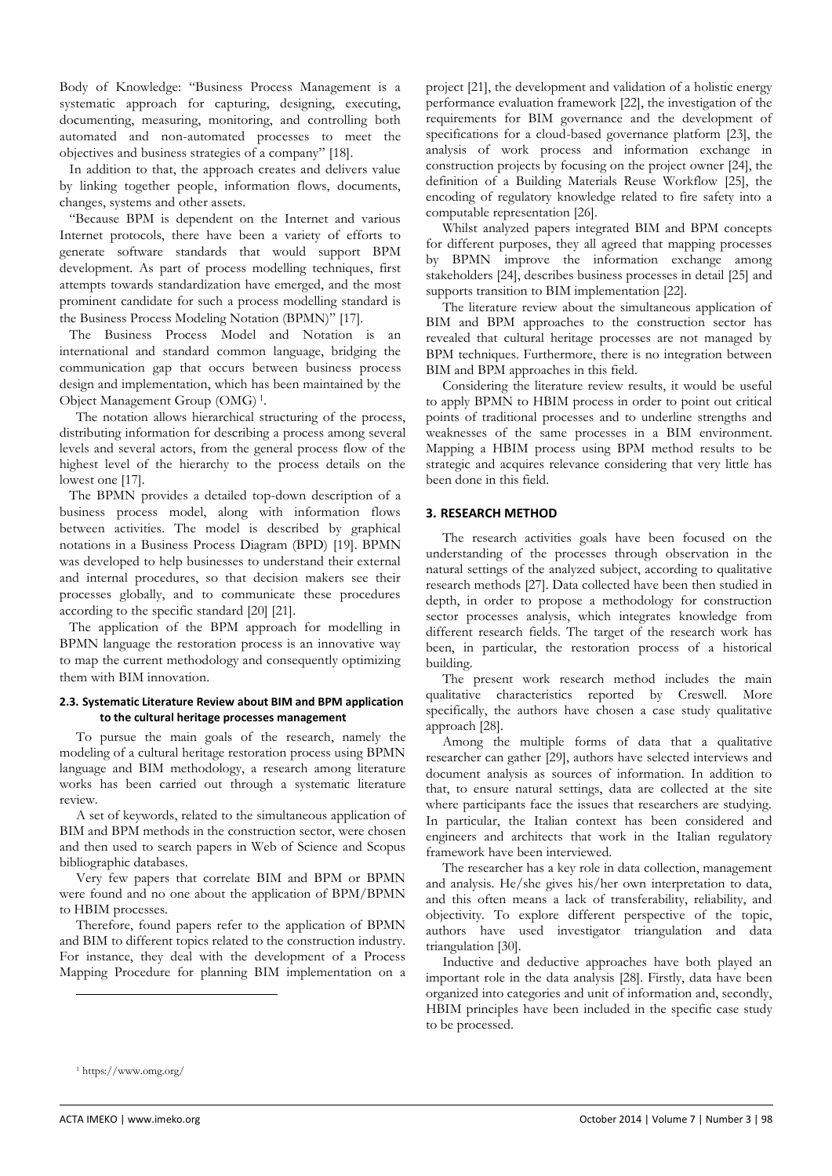Body of Knowledge: "Business Process Management is a systematic approach for capturing, designing, executing, documenting, measuring, monitoring, and controlling both automated and non-automated processes to meet the objectives and business strategies of a company" [18].

In addition to that, the approach creates and delivers value by linking together people, information flows, documents, changes, systems and other assets.

"Because BPM is dependent on the Internet and various Internet protocols, there have been a variety of efforts to generate software standards that would support BPM development. As part of process modelling techniques, first attempts towards standardization have emerged, and the most prominent candidate for such a process modelling standard is the Business Process Modeling Notation (BPMN)" [17].

The Business Process Model and Notation is an international and standard common language, bridging the communication gap that occurs between business process design and implementation, which has been maintained by the Object Management Group (OMG) <sup>1</sup> .

The notation allows hierarchical structuring of the process, distributing information for describing a process among several levels and several actors, from the general process flow of the highest level of the hierarchy to the process details on the lowest one [17].

The BPMN provides a detailed top-down description of a business process model, along with information flows between activities. The model is described by graphical notations in a Business Process Diagram (BPD) [19]. BPMN was developed to help businesses to understand their external and internal procedures, so that decision makers see their processes globally, and to communicate these procedures according to the specific standard [20] [21].

The application of the BPM approach for modelling in BPMN language the restoration process is an innovative way to map the current methodology and consequently optimizing them with BIM innovation.

#### **2.3. Systematic Literature Review about BIM and BPM application to the cultural heritage processes management**

To pursue the main goals of the research, namely the modeling of a cultural heritage restoration process using BPMN language and BIM methodology, a research among literature works has been carried out through a systematic literature review.

A set of keywords, related to the simultaneous application of BIM and BPM methods in the construction sector, were chosen and then used to search papers in Web of Science and Scopus bibliographic databases.

Very few papers that correlate BIM and BPM or BPMN were found and no one about the application of BPM/BPMN to HBIM processes.

Therefore, found papers refer to the application of BPMN and BIM to different topics related to the construction industry. For instance, they deal with the development of a Process Mapping Procedure for planning BIM implementation on a

project [21], the development and validation of a holistic energy performance evaluation framework [22], the investigation of the requirements for BIM governance and the development of specifications for a cloud-based governance platform [23], the analysis of work process and information exchange in construction projects by focusing on the project owner [24], the definition of a Building Materials Reuse Workflow [25], the encoding of regulatory knowledge related to fire safety into a computable representation [26].

Whilst analyzed papers integrated BIM and BPM concepts for different purposes, they all agreed that mapping processes by BPMN improve the information exchange among stakeholders [24], describes business processes in detail [25] and supports transition to BIM implementation [22].

The literature review about the simultaneous application of BIM and BPM approaches to the construction sector has revealed that cultural heritage processes are not managed by BPM techniques. Furthermore, there is no integration between BIM and BPM approaches in this field.

Considering the literature review results, it would be useful to apply BPMN to HBIM process in order to point out critical points of traditional processes and to underline strengths and weaknesses of the same processes in a BIM environment. Mapping a HBIM process using BPM method results to be strategic and acquires relevance considering that very little has been done in this field.

## **3. RESEARCH METHOD**

The research activities goals have been focused on the understanding of the processes through observation in the natural settings of the analyzed subject, according to qualitative research methods [27]. Data collected have been then studied in depth, in order to propose a methodology for construction sector processes analysis, which integrates knowledge from different research fields. The target of the research work has been, in particular, the restoration process of a historical building.

The present work research method includes the main qualitative characteristics reported by Creswell. More specifically, the authors have chosen a case study qualitative approach [28].

Among the multiple forms of data that a qualitative researcher can gather [29], authors have selected interviews and document analysis as sources of information. In addition to that, to ensure natural settings, data are collected at the site where participants face the issues that researchers are studying. In particular, the Italian context has been considered and engineers and architects that work in the Italian regulatory framework have been interviewed.

The researcher has a key role in data collection, management and analysis. He/she gives his/her own interpretation to data, and this often means a lack of transferability, reliability, and objectivity. To explore different perspective of the topic, authors have used investigator triangulation and data triangulation [30].

Inductive and deductive approaches have both played an important role in the data analysis [28]. Firstly, data have been organized into categories and unit of information and, secondly, HBIM principles have been included in the specific case study to be processed.

 $\overline{a}$ 

<sup>1</sup> https://www.omg.org/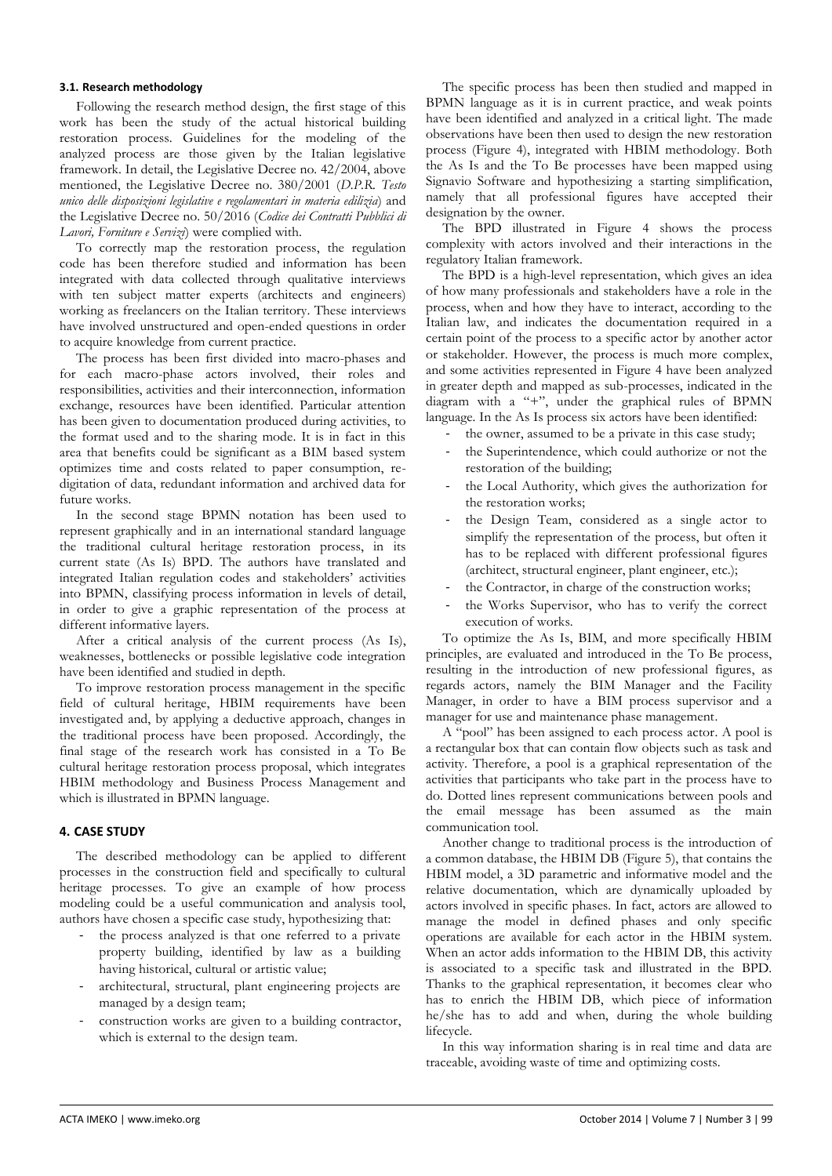#### **3.1. Research methodology**

Following the research method design, the first stage of this work has been the study of the actual historical building restoration process. Guidelines for the modeling of the analyzed process are those given by the Italian legislative framework. In detail, the Legislative Decree no. 42/2004, above mentioned, the Legislative Decree no. 380/2001 (*D.P.R. Testo unico delle disposizioni legislative e regolamentari in materia edilizia*) and the Legislative Decree no. 50/2016 (*Codice dei Contratti Pubblici di Lavori, Forniture e Servizi*) were complied with.

To correctly map the restoration process, the regulation code has been therefore studied and information has been integrated with data collected through qualitative interviews with ten subject matter experts (architects and engineers) working as freelancers on the Italian territory. These interviews have involved unstructured and open-ended questions in order to acquire knowledge from current practice.

The process has been first divided into macro-phases and for each macro-phase actors involved, their roles and responsibilities, activities and their interconnection, information exchange, resources have been identified. Particular attention has been given to documentation produced during activities, to the format used and to the sharing mode. It is in fact in this area that benefits could be significant as a BIM based system optimizes time and costs related to paper consumption, redigitation of data, redundant information and archived data for future works.

In the second stage BPMN notation has been used to represent graphically and in an international standard language the traditional cultural heritage restoration process, in its current state (As Is) BPD. The authors have translated and integrated Italian regulation codes and stakeholders' activities into BPMN, classifying process information in levels of detail, in order to give a graphic representation of the process at different informative layers.

After a critical analysis of the current process (As Is), weaknesses, bottlenecks or possible legislative code integration have been identified and studied in depth.

To improve restoration process management in the specific field of cultural heritage, HBIM requirements have been investigated and, by applying a deductive approach, changes in the traditional process have been proposed. Accordingly, the final stage of the research work has consisted in a To Be cultural heritage restoration process proposal, which integrates HBIM methodology and Business Process Management and which is illustrated in BPMN language.

## **4. CASE STUDY**

The described methodology can be applied to different processes in the construction field and specifically to cultural heritage processes. To give an example of how process modeling could be a useful communication and analysis tool, authors have chosen a specific case study, hypothesizing that:

- the process analyzed is that one referred to a private property building, identified by law as a building having historical, cultural or artistic value;
- architectural, structural, plant engineering projects are managed by a design team;
- construction works are given to a building contractor, which is external to the design team.

The specific process has been then studied and mapped in BPMN language as it is in current practice, and weak points have been identified and analyzed in a critical light. The made observations have been then used to design the new restoration process (Figure 4), integrated with HBIM methodology. Both the As Is and the To Be processes have been mapped using Signavio Software and hypothesizing a starting simplification, namely that all professional figures have accepted their designation by the owner.

The BPD illustrated in Figure 4 shows the process complexity with actors involved and their interactions in the regulatory Italian framework.

The BPD is a high-level representation, which gives an idea of how many professionals and stakeholders have a role in the process, when and how they have to interact, according to the Italian law, and indicates the documentation required in a certain point of the process to a specific actor by another actor or stakeholder. However, the process is much more complex, and some activities represented in Figure 4 have been analyzed in greater depth and mapped as sub-processes, indicated in the diagram with a "+", under the graphical rules of BPMN language. In the As Is process six actors have been identified:

the owner, assumed to be a private in this case study;

- the Superintendence, which could authorize or not the restoration of the building;
- the Local Authority, which gives the authorization for the restoration works;
- the Design Team, considered as a single actor to simplify the representation of the process, but often it has to be replaced with different professional figures (architect, structural engineer, plant engineer, etc.);
- the Contractor, in charge of the construction works;
- the Works Supervisor, who has to verify the correct execution of works.

To optimize the As Is, BIM, and more specifically HBIM principles, are evaluated and introduced in the To Be process, resulting in the introduction of new professional figures, as regards actors, namely the BIM Manager and the Facility Manager, in order to have a BIM process supervisor and a manager for use and maintenance phase management.

A "pool" has been assigned to each process actor. A pool is a rectangular box that can contain flow objects such as task and activity. Therefore, a pool is a graphical representation of the activities that participants who take part in the process have to do. Dotted lines represent communications between pools and the email message has been assumed as the main communication tool.

Another change to traditional process is the introduction of a common database, the HBIM DB (Figure 5), that contains the HBIM model, a 3D parametric and informative model and the relative documentation, which are dynamically uploaded by actors involved in specific phases. In fact, actors are allowed to manage the model in defined phases and only specific operations are available for each actor in the HBIM system. When an actor adds information to the HBIM DB, this activity is associated to a specific task and illustrated in the BPD. Thanks to the graphical representation, it becomes clear who has to enrich the HBIM DB, which piece of information he/she has to add and when, during the whole building lifecycle.

In this way information sharing is in real time and data are traceable, avoiding waste of time and optimizing costs.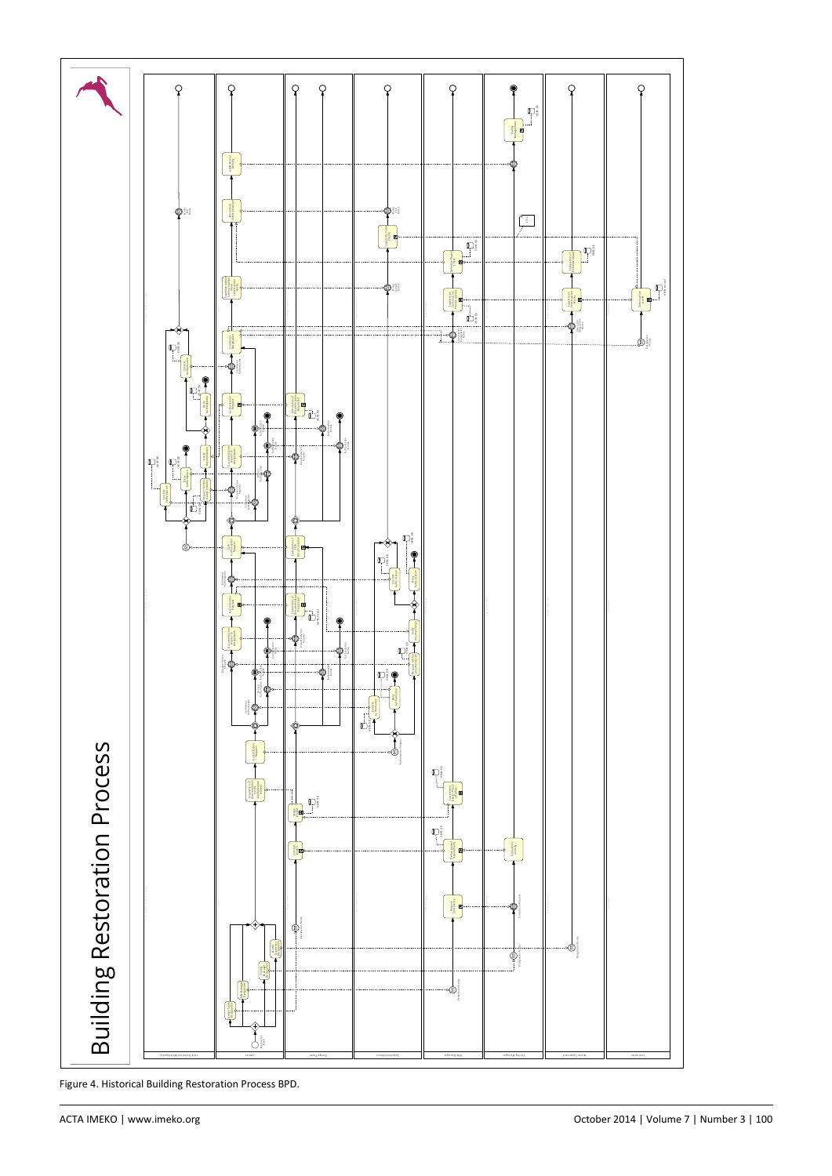

Figure 4. Historical Building Restoration Process BPD.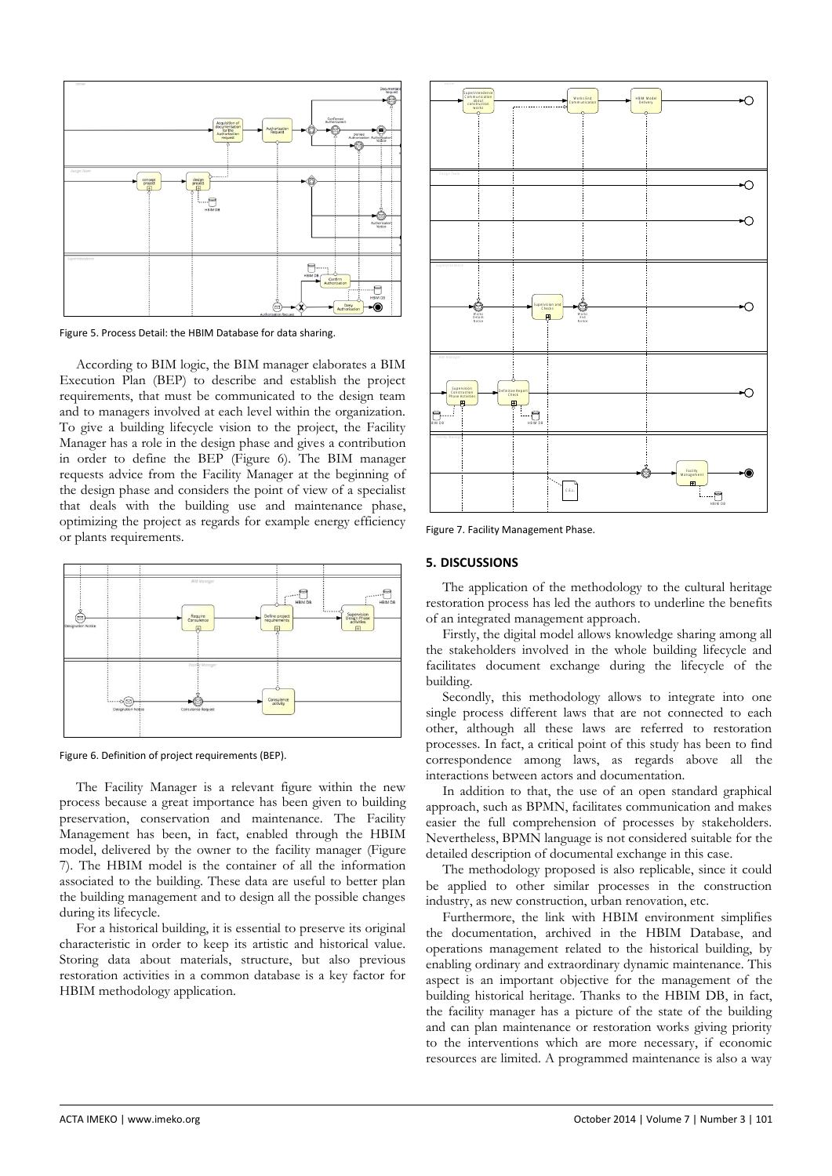

Figure 5. Process Detail: the HBIM Database for data sharing.

According to BIM logic, the BIM manager elaborates a BIM Execution Plan (BEP) to describe and establish the project requirements, that must be communicated to the design team and to managers involved at each level within the organization. To give a building lifecycle vision to the project, the Facility Manager has a role in the design phase and gives a contribution in order to define the BEP (Figure 6). The BIM manager requests advice from the Facility Manager at the beginning of the design phase and considers the point of view of a specialist that deals with the building use and maintenance phase, optimizing the project as regards for example energy efficiency or plants requirements.



Figure 6. Definition of project requirements (BEP).

The Facility Manager is a relevant figure within the new process because a great importance has been given to building preservation, conservation and maintenance. The Facility Management has been, in fact, enabled through the HBIM model, delivered by the owner to the facility manager (Figure 7). The HBIM model is the container of all the information associated to the building. These data are useful to better plan the building management and to design all the possible changes during its lifecycle.

For a historical building, it is essential to preserve its original characteristic in order to keep its artistic and historical value. Storing data about materials, structure, but also previous restoration activities in a common database is a key factor for HBIM methodology application.



Figure 7. Facility Management Phase.

# **5. DISCUSSIONS**

The application of the methodology to the cultural heritage restoration process has led the authors to underline the benefits of an integrated management approach.

Firstly, the digital model allows knowledge sharing among all the stakeholders involved in the whole building lifecycle and facilitates document exchange during the lifecycle of the building.

Secondly, this methodology allows to integrate into one single process different laws that are not connected to each other, although all these laws are referred to restoration processes. In fact, a critical point of this study has been to find correspondence among laws, as regards above all the interactions between actors and documentation.

In addition to that, the use of an open standard graphical approach, such as BPMN, facilitates communication and makes easier the full comprehension of processes by stakeholders. Nevertheless, BPMN language is not considered suitable for the detailed description of documental exchange in this case.

The methodology proposed is also replicable, since it could be applied to other similar processes in the construction industry, as new construction, urban renovation, etc.

Furthermore, the link with HBIM environment simplifies the documentation, archived in the HBIM Database, and operations management related to the historical building, by enabling ordinary and extraordinary dynamic maintenance. This aspect is an important objective for the management of the building historical heritage. Thanks to the HBIM DB, in fact, the facility manager has a picture of the state of the building and can plan maintenance or restoration works giving priority to the interventions which are more necessary, if economic resources are limited. A programmed maintenance is also a way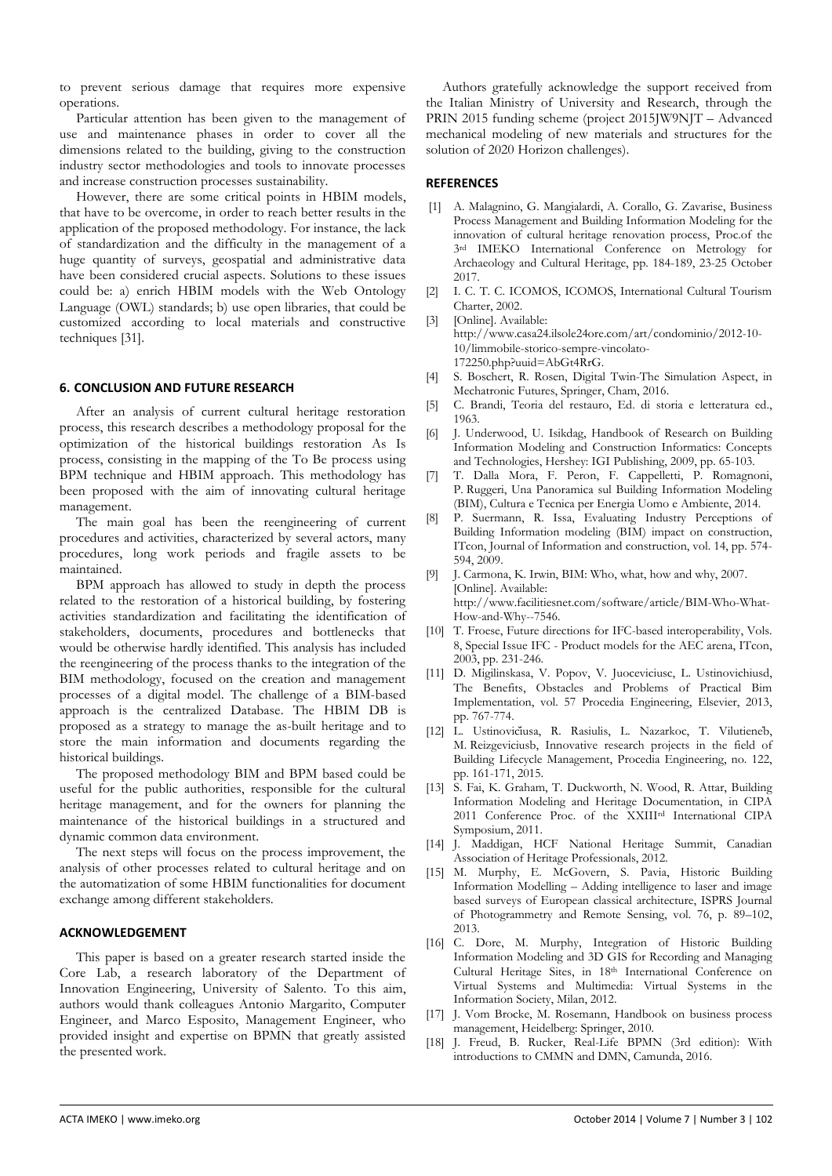to prevent serious damage that requires more expensive operations.

Particular attention has been given to the management of use and maintenance phases in order to cover all the dimensions related to the building, giving to the construction industry sector methodologies and tools to innovate processes and increase construction processes sustainability.

However, there are some critical points in HBIM models, that have to be overcome, in order to reach better results in the application of the proposed methodology. For instance, the lack of standardization and the difficulty in the management of a huge quantity of surveys, geospatial and administrative data have been considered crucial aspects. Solutions to these issues could be: a) enrich HBIM models with the Web Ontology Language (OWL) standards; b) use open libraries, that could be customized according to local materials and constructive techniques [31].

## **6. CONCLUSION AND FUTURE RESEARCH**

After an analysis of current cultural heritage restoration process, this research describes a methodology proposal for the optimization of the historical buildings restoration As Is process, consisting in the mapping of the To Be process using BPM technique and HBIM approach. This methodology has been proposed with the aim of innovating cultural heritage management.

The main goal has been the reengineering of current procedures and activities, characterized by several actors, many procedures, long work periods and fragile assets to be maintained.

BPM approach has allowed to study in depth the process related to the restoration of a historical building, by fostering activities standardization and facilitating the identification of stakeholders, documents, procedures and bottlenecks that would be otherwise hardly identified. This analysis has included the reengineering of the process thanks to the integration of the BIM methodology, focused on the creation and management processes of a digital model. The challenge of a BIM-based approach is the centralized Database. The HBIM DB is proposed as a strategy to manage the as-built heritage and to store the main information and documents regarding the historical buildings.

The proposed methodology BIM and BPM based could be useful for the public authorities, responsible for the cultural heritage management, and for the owners for planning the maintenance of the historical buildings in a structured and dynamic common data environment.

The next steps will focus on the process improvement, the analysis of other processes related to cultural heritage and on the automatization of some HBIM functionalities for document exchange among different stakeholders.

#### **ACKNOWLEDGEMENT**

This paper is based on a greater research started inside the Core Lab, a research laboratory of the Department of Innovation Engineering, University of Salento. To this aim, authors would thank colleagues Antonio Margarito, Computer Engineer, and Marco Esposito, Management Engineer, who provided insight and expertise on BPMN that greatly assisted the presented work.

Authors gratefully acknowledge the support received from the Italian Ministry of University and Research, through the PRIN 2015 funding scheme (project 2015JW9NJT – Advanced mechanical modeling of new materials and structures for the solution of 2020 Horizon challenges).

#### **REFERENCES**

- [1] A. Malagnino, G. Mangialardi, A. Corallo, G. Zavarise, Business Process Management and Building Information Modeling for the innovation of cultural heritage renovation process, Proc.of the 3rd IMEKO International Conference on Metrology for Archaeology and Cultural Heritage, pp. 184-189, 23-25 October 2017.
- [2] I. C. T. C. ICOMOS, ICOMOS, International Cultural Tourism Charter, 2002.
- [3] [Online]. Available: http://www.casa24.ilsole24ore.com/art/condominio/2012-10- 10/limmobile-storico-sempre-vincolato-172250.php?uuid=AbGt4RrG.
- [4] S. Boschert, R. Rosen, Digital Twin-The Simulation Aspect, in Mechatronic Futures, Springer, Cham, 2016.
- [5] C. Brandi, Teoria del restauro, Ed. di storia e letteratura ed., 1963.
- [6] J. Underwood, U. Isikdag, Handbook of Research on Building Information Modeling and Construction Informatics: Concepts and Technologies, Hershey: IGI Publishing, 2009, pp. 65-103.
- [7] T. Dalla Mora, F. Peron, F. Cappelletti, P. Romagnoni, P. Ruggeri, Una Panoramica sul Building Information Modeling (BIM), Cultura e Tecnica per Energia Uomo e Ambiente, 2014.
- [8] P. Suermann, R. Issa, Evaluating Industry Perceptions of Building Information modeling (BIM) impact on construction, ITcon, Journal of Information and construction, vol. 14, pp. 574- 594, 2009.
- [9] J. Carmona, K. Irwin, BIM: Who, what, how and why, 2007. [Online]. Available: http://www.facilitiesnet.com/software/article/BIM-Who-What-How-and-Why--7546.
- [10] T. Froese, Future directions for IFC-based interoperability, Vols. 8, Special Issue IFC - Product models for the AEC arena, ITcon, 2003, pp. 231-246.
- [11] D. Migilinskasa, V. Popov, V. Juoceviciusc, L. Ustinovichiusd, The Benefits, Obstacles and Problems of Practical Bim Implementation, vol. 57 Procedia Engineering, Elsevier, 2013, pp. 767-774.
- [12] L. Ustinovičiusa, R. Rasiulis, L. Nazarkoc, T. Vilutienėb, M. Reizgeviciusb, Innovative research projects in the field of Building Lifecycle Management, Procedia Engineering, no. 122, pp. 161-171, 2015.
- [13] S. Fai, K. Graham, T. Duckworth, N. Wood, R. Attar, Building Information Modeling and Heritage Documentation, in CIPA 2011 Conference Proc. of the XXIIIrd International CIPA Symposium, 2011.
- [14] J. Maddigan, HCF National Heritage Summit, Canadian Association of Heritage Professionals, 2012.
- [15] M. Murphy, E. McGovern, S. Pavia, Historic Building Information Modelling – Adding intelligence to laser and image based surveys of European classical architecture, ISPRS Journal of Photogrammetry and Remote Sensing, vol. 76, p. 89–102, 2013.
- [16] C. Dore, M. Murphy, Integration of Historic Building Information Modeling and 3D GIS for Recording and Managing Cultural Heritage Sites, in 18th International Conference on Virtual Systems and Multimedia: Virtual Systems in the Information Society, Milan, 2012.
- [17] J. Vom Brocke, M. Rosemann, Handbook on business process management, Heidelberg: Springer, 2010.
- [18] J. Freud, B. Rucker, Real-Life BPMN (3rd edition): With introductions to CMMN and DMN, Camunda, 2016.